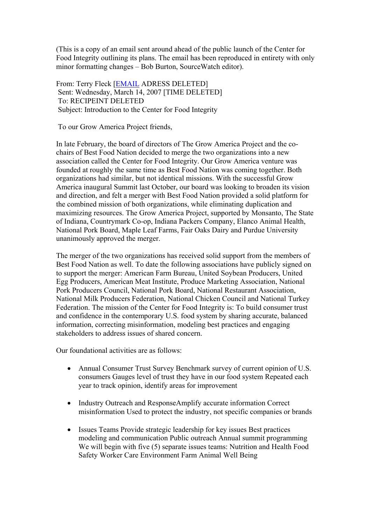(This is a copy of an email sent around ahead of the public launch of the Center for Food Integrity outlining its plans. The email has been reproduced in entirety with only minor formatting changes – Bob Burton, SourceWatch editor).

From: Terry Fleck [EMAIL ADRESS DELETED] Sent: Wednesday, March 14, 2007 [TIME DELETED] To: RECIPEINT DELETED Subject: Introduction to the Center for Food Integrity

To our Grow America Project friends,

In late February, the board of directors of The Grow America Project and the cochairs of Best Food Nation decided to merge the two organizations into a new association called the Center for Food Integrity. Our Grow America venture was founded at roughly the same time as Best Food Nation was coming together. Both organizations had similar, but not identical missions. With the successful Grow America inaugural Summit last October, our board was looking to broaden its vision and direction, and felt a merger with Best Food Nation provided a solid platform for the combined mission of both organizations, while eliminating duplication and maximizing resources. The Grow America Project, supported by Monsanto, The State of Indiana, Countrymark Co-op, Indiana Packers Company, Elanco Animal Health, National Pork Board, Maple Leaf Farms, Fair Oaks Dairy and Purdue University unanimously approved the merger.

The merger of the two organizations has received solid support from the members of Best Food Nation as well. To date the following associations have publicly signed on to support the merger: American Farm Bureau, United Soybean Producers, United Egg Producers, American Meat Institute, Produce Marketing Association, National Pork Producers Council, National Pork Board, National Restaurant Association, National Milk Producers Federation, National Chicken Council and National Turkey Federation. The mission of the Center for Food Integrity is: To build consumer trust and confidence in the contemporary U.S. food system by sharing accurate, balanced information, correcting misinformation, modeling best practices and engaging stakeholders to address issues of shared concern.

Our foundational activities are as follows:

- Annual Consumer Trust Survey Benchmark survey of current opinion of U.S. consumers Gauges level of trust they have in our food system Repeated each year to track opinion, identify areas for improvement
- Industry Outreach and ResponseAmplify accurate information Correct misinformation Used to protect the industry, not specific companies or brands
- Issues Teams Provide strategic leadership for key issues Best practices modeling and communication Public outreach Annual summit programming We will begin with five (5) separate issues teams: Nutrition and Health Food Safety Worker Care Environment Farm Animal Well Being